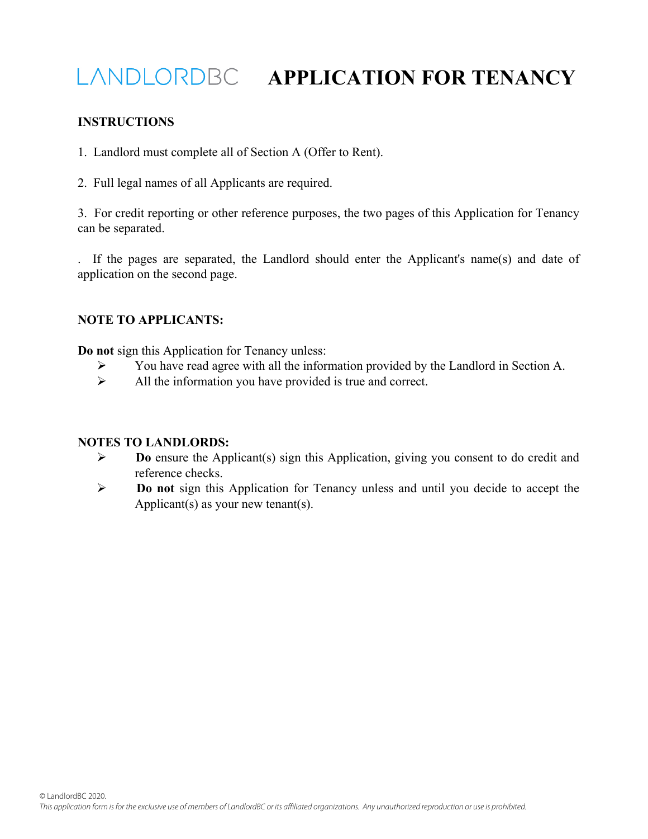# LANDLORDBC **APPLICATION FOR TENANCY**

#### **INSTRUCTIONS**

- 1. Landlord must complete all of Section A (Offer to Rent).
- 2. Full legal names of all Applicants are required.

3. For credit reporting or other reference purposes, the two pages of this Application for Tenancy can be separated.

. If the pages are separated, the Landlord should enter the Applicant's name(s) and date of application on the second page.

### **NOTE TO APPLICANTS:**

**Do not** sign this Application for Tenancy unless:

- $\triangleright$  You have read agree with all the information provided by the Landlord in Section A.<br>All the information you have provided is true and correct
- All the information you have provided is true and correct.

#### **NOTES TO LANDLORDS:**

- **EXECUTE:** Do ensure the Applicant(s) sign this Application, giving you consent to do credit and reference checks.
- **EXECUTE:** Do not sign this Application for Tenancy unless and until you decide to accept the Applicant(s) as your new tenant(s).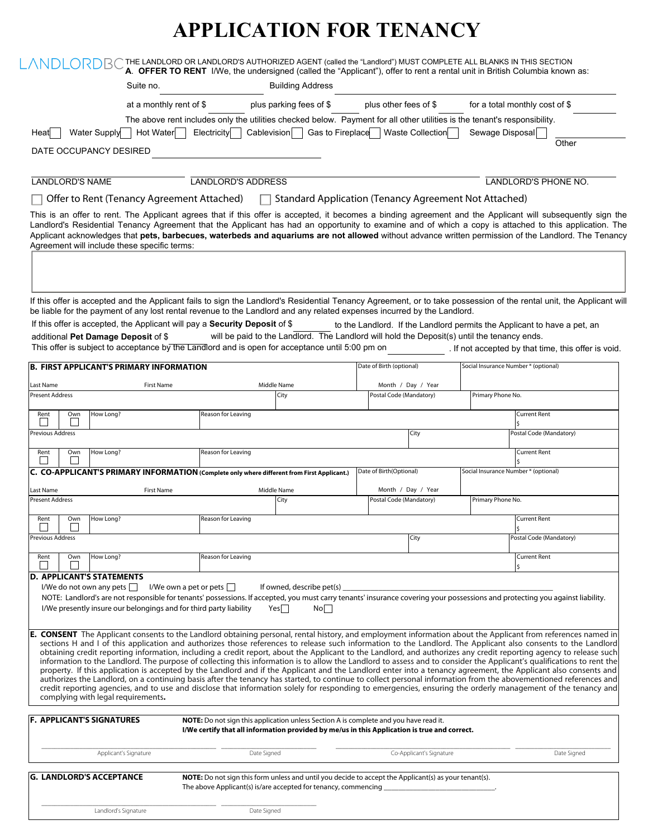## **APPLICATION FOR TENANCY**

|                                     | ANDLORD                |                                                                                                                   |                               | THE LANDLORD OR LANDLORD'S AUTHORIZED AGENT (called the "Landlord") MUST COMPLETE ALL BLANKS IN THIS SECTION<br>A. OFFER TO RENT I/We, the undersigned (called the "Applicant"), offer to rent a rental unit in British Columbia known as:                                                                                |                                                                                                                           |                                               |                   |                                                                                                                                                                                                                                                                                                                                                                                                                                                                                                                                                                                                                                                                                                                                                                                                                                                                                                                                                                                                                                                                                                                                                                                          |  |
|-------------------------------------|------------------------|-------------------------------------------------------------------------------------------------------------------|-------------------------------|---------------------------------------------------------------------------------------------------------------------------------------------------------------------------------------------------------------------------------------------------------------------------------------------------------------------------|---------------------------------------------------------------------------------------------------------------------------|-----------------------------------------------|-------------------|------------------------------------------------------------------------------------------------------------------------------------------------------------------------------------------------------------------------------------------------------------------------------------------------------------------------------------------------------------------------------------------------------------------------------------------------------------------------------------------------------------------------------------------------------------------------------------------------------------------------------------------------------------------------------------------------------------------------------------------------------------------------------------------------------------------------------------------------------------------------------------------------------------------------------------------------------------------------------------------------------------------------------------------------------------------------------------------------------------------------------------------------------------------------------------------|--|
|                                     |                        | Suite no.                                                                                                         |                               | <b>Building Address</b>                                                                                                                                                                                                                                                                                                   |                                                                                                                           |                                               |                   |                                                                                                                                                                                                                                                                                                                                                                                                                                                                                                                                                                                                                                                                                                                                                                                                                                                                                                                                                                                                                                                                                                                                                                                          |  |
|                                     |                        | at a monthly rent of \$                                                                                           |                               | plus parking fees of \$                                                                                                                                                                                                                                                                                                   | plus other fees of \$                                                                                                     |                                               |                   | for a total monthly cost of \$                                                                                                                                                                                                                                                                                                                                                                                                                                                                                                                                                                                                                                                                                                                                                                                                                                                                                                                                                                                                                                                                                                                                                           |  |
|                                     |                        |                                                                                                                   |                               |                                                                                                                                                                                                                                                                                                                           | The above rent includes only the utilities checked below. Payment for all other utilities is the tenant's responsibility. |                                               |                   |                                                                                                                                                                                                                                                                                                                                                                                                                                                                                                                                                                                                                                                                                                                                                                                                                                                                                                                                                                                                                                                                                                                                                                                          |  |
| Heat                                |                        | Hot Water<br><b>Water Supply</b>                                                                                  | Electricity                   | Cablevision Gas to Fireplace Waste Collection                                                                                                                                                                                                                                                                             |                                                                                                                           |                                               | Sewage Disposal   |                                                                                                                                                                                                                                                                                                                                                                                                                                                                                                                                                                                                                                                                                                                                                                                                                                                                                                                                                                                                                                                                                                                                                                                          |  |
|                                     |                        | DATE OCCUPANCY DESIRED                                                                                            |                               |                                                                                                                                                                                                                                                                                                                           |                                                                                                                           |                                               |                   | Other                                                                                                                                                                                                                                                                                                                                                                                                                                                                                                                                                                                                                                                                                                                                                                                                                                                                                                                                                                                                                                                                                                                                                                                    |  |
|                                     |                        |                                                                                                                   |                               |                                                                                                                                                                                                                                                                                                                           |                                                                                                                           |                                               |                   |                                                                                                                                                                                                                                                                                                                                                                                                                                                                                                                                                                                                                                                                                                                                                                                                                                                                                                                                                                                                                                                                                                                                                                                          |  |
|                                     | <b>LANDLORD'S NAME</b> |                                                                                                                   |                               | <b>LANDLORD'S ADDRESS</b>                                                                                                                                                                                                                                                                                                 |                                                                                                                           |                                               |                   | LANDLORD'S PHONE NO.                                                                                                                                                                                                                                                                                                                                                                                                                                                                                                                                                                                                                                                                                                                                                                                                                                                                                                                                                                                                                                                                                                                                                                     |  |
|                                     |                        | Offer to Rent (Tenancy Agreement Attached)                                                                        |                               | Standard Application (Tenancy Agreement Not Attached)                                                                                                                                                                                                                                                                     |                                                                                                                           |                                               |                   |                                                                                                                                                                                                                                                                                                                                                                                                                                                                                                                                                                                                                                                                                                                                                                                                                                                                                                                                                                                                                                                                                                                                                                                          |  |
|                                     |                        | Agreement will include these specific terms:                                                                      |                               |                                                                                                                                                                                                                                                                                                                           |                                                                                                                           |                                               |                   | This is an offer to rent. The Applicant agrees that if this offer is accepted, it becomes a binding agreement and the Applicant will subsequently sign the<br>Landlord's Residential Tenancy Agreement that the Applicant has had an opportunity to examine and of which a copy is attached to this application. The<br>Applicant acknowledges that pets, barbecues, waterbeds and aquariums are not allowed without advance written permission of the Landlord. The Tenancy                                                                                                                                                                                                                                                                                                                                                                                                                                                                                                                                                                                                                                                                                                             |  |
|                                     |                        | If this offer is accepted, the Applicant will pay a Security Deposit of \$<br>additional Pet Damage Deposit of \$ |                               | be liable for the payment of any lost rental revenue to the Landlord and any related expenses incurred by the Landlord.<br>will be paid to the Landlord. The Landlord will hold the Deposit(s) until the tenancy ends.<br>This offer is subject to acceptance by the Landlord and is open for acceptance until 5:00 pm on |                                                                                                                           |                                               |                   | If this offer is accepted and the Applicant fails to sign the Landlord's Residential Tenancy Agreement, or to take possession of the rental unit, the Applicant will<br>to the Landlord. If the Landlord permits the Applicant to have a pet, an<br>. If not accepted by that time, this offer is void.                                                                                                                                                                                                                                                                                                                                                                                                                                                                                                                                                                                                                                                                                                                                                                                                                                                                                  |  |
|                                     |                        | <b>B. FIRST APPLICANT'S PRIMARY INFORMATION</b>                                                                   |                               |                                                                                                                                                                                                                                                                                                                           | Date of Birth (optional)                                                                                                  |                                               |                   | Social Insurance Number * (optional)                                                                                                                                                                                                                                                                                                                                                                                                                                                                                                                                                                                                                                                                                                                                                                                                                                                                                                                                                                                                                                                                                                                                                     |  |
|                                     |                        |                                                                                                                   |                               |                                                                                                                                                                                                                                                                                                                           |                                                                                                                           |                                               |                   |                                                                                                                                                                                                                                                                                                                                                                                                                                                                                                                                                                                                                                                                                                                                                                                                                                                                                                                                                                                                                                                                                                                                                                                          |  |
| Last Name<br><b>Present Address</b> |                        | <b>First Name</b>                                                                                                 |                               | Middle Name<br>City                                                                                                                                                                                                                                                                                                       |                                                                                                                           | Month / Day / Year<br>Postal Code (Mandatory) | Primary Phone No. |                                                                                                                                                                                                                                                                                                                                                                                                                                                                                                                                                                                                                                                                                                                                                                                                                                                                                                                                                                                                                                                                                                                                                                                          |  |
| Rent                                | Own                    | How Long?                                                                                                         | Reason for Leaving            |                                                                                                                                                                                                                                                                                                                           |                                                                                                                           |                                               |                   | Current Rent                                                                                                                                                                                                                                                                                                                                                                                                                                                                                                                                                                                                                                                                                                                                                                                                                                                                                                                                                                                                                                                                                                                                                                             |  |
|                                     |                        |                                                                                                                   |                               |                                                                                                                                                                                                                                                                                                                           |                                                                                                                           |                                               |                   |                                                                                                                                                                                                                                                                                                                                                                                                                                                                                                                                                                                                                                                                                                                                                                                                                                                                                                                                                                                                                                                                                                                                                                                          |  |
| <b>Previous Address</b>             |                        |                                                                                                                   |                               |                                                                                                                                                                                                                                                                                                                           |                                                                                                                           | City                                          |                   | Postal Code (Mandatory)                                                                                                                                                                                                                                                                                                                                                                                                                                                                                                                                                                                                                                                                                                                                                                                                                                                                                                                                                                                                                                                                                                                                                                  |  |
| Rent                                | Own                    | How Long?                                                                                                         | Reason for Leaving            |                                                                                                                                                                                                                                                                                                                           |                                                                                                                           |                                               |                   | <b>Current Rent</b>                                                                                                                                                                                                                                                                                                                                                                                                                                                                                                                                                                                                                                                                                                                                                                                                                                                                                                                                                                                                                                                                                                                                                                      |  |
|                                     |                        |                                                                                                                   |                               | C. CO-APPLICANT'S PRIMARY INFORMATION (Complete only where different from First Applicant.)                                                                                                                                                                                                                               | Date of Birth(Optional)                                                                                                   |                                               |                   | Social Insurance Number * (optional)                                                                                                                                                                                                                                                                                                                                                                                                                                                                                                                                                                                                                                                                                                                                                                                                                                                                                                                                                                                                                                                                                                                                                     |  |
| Last Name                           |                        | <b>First Name</b>                                                                                                 |                               | Middle Name                                                                                                                                                                                                                                                                                                               |                                                                                                                           | Month / Day / Year                            |                   |                                                                                                                                                                                                                                                                                                                                                                                                                                                                                                                                                                                                                                                                                                                                                                                                                                                                                                                                                                                                                                                                                                                                                                                          |  |
| <b>Present Address</b>              |                        |                                                                                                                   |                               | City                                                                                                                                                                                                                                                                                                                      |                                                                                                                           | Postal Code (Mandatory)                       | Primary Phone No. |                                                                                                                                                                                                                                                                                                                                                                                                                                                                                                                                                                                                                                                                                                                                                                                                                                                                                                                                                                                                                                                                                                                                                                                          |  |
| Rent                                | Own                    | How Long?                                                                                                         | Reason for Leaving            |                                                                                                                                                                                                                                                                                                                           |                                                                                                                           |                                               |                   | Current Rent                                                                                                                                                                                                                                                                                                                                                                                                                                                                                                                                                                                                                                                                                                                                                                                                                                                                                                                                                                                                                                                                                                                                                                             |  |
|                                     |                        |                                                                                                                   |                               |                                                                                                                                                                                                                                                                                                                           |                                                                                                                           |                                               |                   | \$                                                                                                                                                                                                                                                                                                                                                                                                                                                                                                                                                                                                                                                                                                                                                                                                                                                                                                                                                                                                                                                                                                                                                                                       |  |
| <b>Previous Address</b>             |                        |                                                                                                                   |                               |                                                                                                                                                                                                                                                                                                                           |                                                                                                                           | City                                          |                   | Postal Code (Mandatory)                                                                                                                                                                                                                                                                                                                                                                                                                                                                                                                                                                                                                                                                                                                                                                                                                                                                                                                                                                                                                                                                                                                                                                  |  |
| Rent                                | Own                    | How Long?                                                                                                         | Reason for Leaving            |                                                                                                                                                                                                                                                                                                                           |                                                                                                                           |                                               |                   | <b>Current Rent</b>                                                                                                                                                                                                                                                                                                                                                                                                                                                                                                                                                                                                                                                                                                                                                                                                                                                                                                                                                                                                                                                                                                                                                                      |  |
|                                     |                        | <b>APPLICANT'S STATEMENTS</b>                                                                                     |                               |                                                                                                                                                                                                                                                                                                                           |                                                                                                                           |                                               |                   |                                                                                                                                                                                                                                                                                                                                                                                                                                                                                                                                                                                                                                                                                                                                                                                                                                                                                                                                                                                                                                                                                                                                                                                          |  |
|                                     |                        | I/We do not own any pets $\Box$<br>I/We presently insure our belongings and for third party liability             | I/We own a pet or pets $\Box$ | If owned, describe pet(s)<br>NOTE: Landlord's are not responsible for tenants' possessions. If accepted, you must carry tenants' insurance covering your possessions and protecting you against liability.<br>Yes<br>No                                                                                                   |                                                                                                                           |                                               |                   |                                                                                                                                                                                                                                                                                                                                                                                                                                                                                                                                                                                                                                                                                                                                                                                                                                                                                                                                                                                                                                                                                                                                                                                          |  |
|                                     |                        | complying with legal requirements.                                                                                |                               |                                                                                                                                                                                                                                                                                                                           |                                                                                                                           |                                               |                   | <b>CONSENT</b> The Applicant consents to the Landlord obtaining personal, rental history, and employment information about the Applicant from references named in<br>sections H and I of this application and authorizes those references to release such information to the Landlord. The Applicant also consents to the Landlord<br>obtaining credit reporting information, including a credit report, about the Applicant to the Landlord, and authorizes any credit reporting agency to release such<br>information to the Landlord. The purpose of collecting this information is to allow the Landlord to assess and to consider the Applicant's qualifications to rent the<br>property. If this application is accepted by the Landlord and if the Applicant and the Landlord enter into a tenancy agreement, the Applicant also consents and<br>authorizes the Landlord, on a continuing basis after the tenancy has started, to continue to collect personal information from the abovementioned references and<br>credit reporting agencies, and to use and disclose that information solely for responding to emergencies, ensuring the orderly management of the tenancy and |  |
|                                     |                        | <b>F. APPLICANT'S SIGNATURES</b>                                                                                  |                               | <b>NOTE:</b> Do not sign this application unless Section A is complete and you have read it.<br>I/We certify that all information provided by me/us in this Application is true and correct.                                                                                                                              |                                                                                                                           |                                               |                   |                                                                                                                                                                                                                                                                                                                                                                                                                                                                                                                                                                                                                                                                                                                                                                                                                                                                                                                                                                                                                                                                                                                                                                                          |  |
|                                     |                        | Applicant's Signature                                                                                             |                               | Date Signed                                                                                                                                                                                                                                                                                                               |                                                                                                                           | Co-Applicant's Signature                      |                   | Date Signed                                                                                                                                                                                                                                                                                                                                                                                                                                                                                                                                                                                                                                                                                                                                                                                                                                                                                                                                                                                                                                                                                                                                                                              |  |
|                                     |                        | <b>G. LANDLORD'S ACCEPTANCE</b>                                                                                   |                               | <b>NOTE:</b> Do not sign this form unless and until you decide to accept the Applicant(s) as your tenant(s).<br>The above Applicant(s) is/are accepted for tenancy, commencing                                                                                                                                            |                                                                                                                           |                                               |                   |                                                                                                                                                                                                                                                                                                                                                                                                                                                                                                                                                                                                                                                                                                                                                                                                                                                                                                                                                                                                                                                                                                                                                                                          |  |
|                                     |                        |                                                                                                                   |                               |                                                                                                                                                                                                                                                                                                                           |                                                                                                                           |                                               |                   |                                                                                                                                                                                                                                                                                                                                                                                                                                                                                                                                                                                                                                                                                                                                                                                                                                                                                                                                                                                                                                                                                                                                                                                          |  |